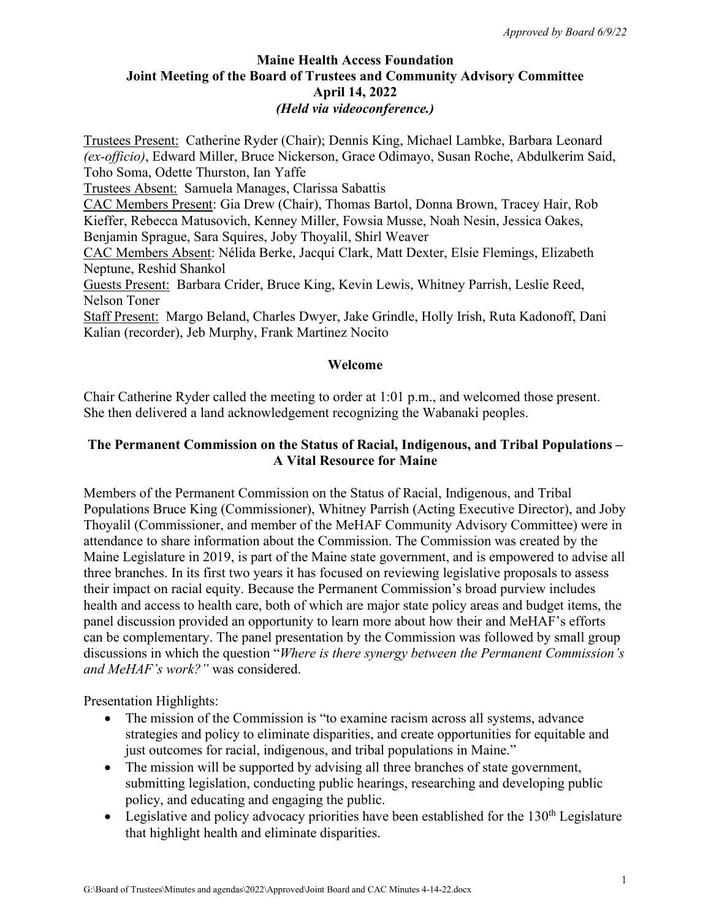## **Maine Health Access Foundation Joint Meeting of the Board of Trustees and Community Advisory Committee April 14, 2022**  *(Held via videoconference.)*

Trustees Present: Catherine Ryder (Chair); Dennis King, Michael Lambke, Barbara Leonard *(ex-officio)*, Edward Miller, Bruce Nickerson, Grace Odimayo, Susan Roche, Abdulkerim Said, Toho Soma, Odette Thurston, Ian Yaffe Trustees Absent: Samuela Manages, Clarissa Sabattis CAC Members Present: Gia Drew (Chair), Thomas Bartol, Donna Brown, Tracey Hair, Rob Kieffer, Rebecca Matusovich, Kenney Miller, Fowsia Musse, Noah Nesin, Jessica Oakes, Benjamin Sprague, Sara Squires, Joby Thoyalil, Shirl Weaver CAC Members Absent: Nélida Berke, Jacqui Clark, Matt Dexter, Elsie Flemings, Elizabeth Neptune, Reshid Shankol Guests Present: Barbara Crider, Bruce King, Kevin Lewis, Whitney Parrish, Leslie Reed, Nelson Toner Staff Present: Margo Beland, Charles Dwyer, Jake Grindle, Holly Irish, Ruta Kadonoff, Dani Kalian (recorder), Jeb Murphy, Frank Martinez Nocito

## **Welcome**

Chair Catherine Ryder called the meeting to order at 1:01 p.m., and welcomed those present. She then delivered a land acknowledgement recognizing the Wabanaki peoples.

#### **The Permanent Commission on the Status of Racial, Indigenous, and Tribal Populations – A Vital Resource for Maine**

Members of the Permanent Commission on the Status of Racial, Indigenous, and Tribal Populations Bruce King (Commissioner), Whitney Parrish (Acting Executive Director), and Joby Thoyalil (Commissioner, and member of the MeHAF Community Advisory Committee) were in attendance to share information about the Commission. The Commission was created by the Maine Legislature in 2019, is part of the Maine state government, and is empowered to advise all three branches. In its first two years it has focused on reviewing legislative proposals to assess their impact on racial equity. Because the Permanent Commission's broad purview includes health and access to health care, both of which are major state policy areas and budget items, the panel discussion provided an opportunity to learn more about how their and MeHAF's efforts can be complementary. The panel presentation by the Commission was followed by small group discussions in which the question "*Where is there synergy between the Permanent Commission's and MeHAF's work?"* was considered.

Presentation Highlights:

- The mission of the Commission is "to examine racism across all systems, advance strategies and policy to eliminate disparities, and create opportunities for equitable and just outcomes for racial, indigenous, and tribal populations in Maine."
- The mission will be supported by advising all three branches of state government, submitting legislation, conducting public hearings, researching and developing public policy, and educating and engaging the public.
- Legislative and policy advocacy priorities have been established for the  $130<sup>th</sup>$  Legislature that highlight health and eliminate disparities.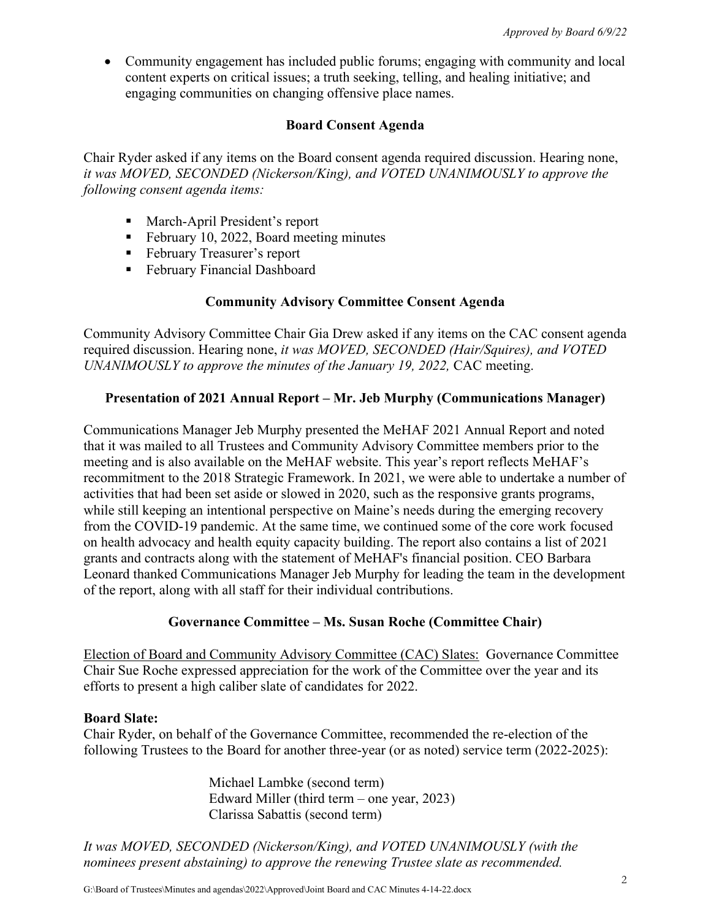• Community engagement has included public forums; engaging with community and local content experts on critical issues; a truth seeking, telling, and healing initiative; and engaging communities on changing offensive place names.

## **Board Consent Agenda**

Chair Ryder asked if any items on the Board consent agenda required discussion. Hearing none, *it was MOVED, SECONDED (Nickerson/King), and VOTED UNANIMOUSLY to approve the following consent agenda items:* 

- March-April President's report
- February 10, 2022, Board meeting minutes
- February Treasurer's report
- **February Financial Dashboard**

## **Community Advisory Committee Consent Agenda**

Community Advisory Committee Chair Gia Drew asked if any items on the CAC consent agenda required discussion. Hearing none, *it was MOVED, SECONDED (Hair/Squires), and VOTED UNANIMOUSLY to approve the minutes of the January 19, 2022, CAC meeting.* 

## **Presentation of 2021 Annual Report – Mr. Jeb Murphy (Communications Manager)**

Communications Manager Jeb Murphy presented the MeHAF 2021 Annual Report and noted that it was mailed to all Trustees and Community Advisory Committee members prior to the meeting and is also available on the MeHAF website. This year's report reflects MeHAF's recommitment to the 2018 Strategic Framework. In 2021, we were able to undertake a number of activities that had been set aside or slowed in 2020, such as the responsive grants programs, while still keeping an intentional perspective on Maine's needs during the emerging recovery from the COVID-19 pandemic. At the same time, we continued some of the core work focused on health advocacy and health equity capacity building. The report also contains a list of 2021 grants and contracts along with the statement of MeHAF's financial position. CEO Barbara Leonard thanked Communications Manager Jeb Murphy for leading the team in the development of the report, along with all staff for their individual contributions.

#### **Governance Committee – Ms. Susan Roche (Committee Chair)**

Election of Board and Community Advisory Committee (CAC) Slates: Governance Committee Chair Sue Roche expressed appreciation for the work of the Committee over the year and its efforts to present a high caliber slate of candidates for 2022.

#### **Board Slate:**

Chair Ryder, on behalf of the Governance Committee, recommended the re-election of the following Trustees to the Board for another three-year (or as noted) service term (2022-2025):

> Michael Lambke (second term) Edward Miller (third term – one year, 2023) Clarissa Sabattis (second term)

*It was MOVED, SECONDED (Nickerson/King), and VOTED UNANIMOUSLY (with the nominees present abstaining) to approve the renewing Trustee slate as recommended.*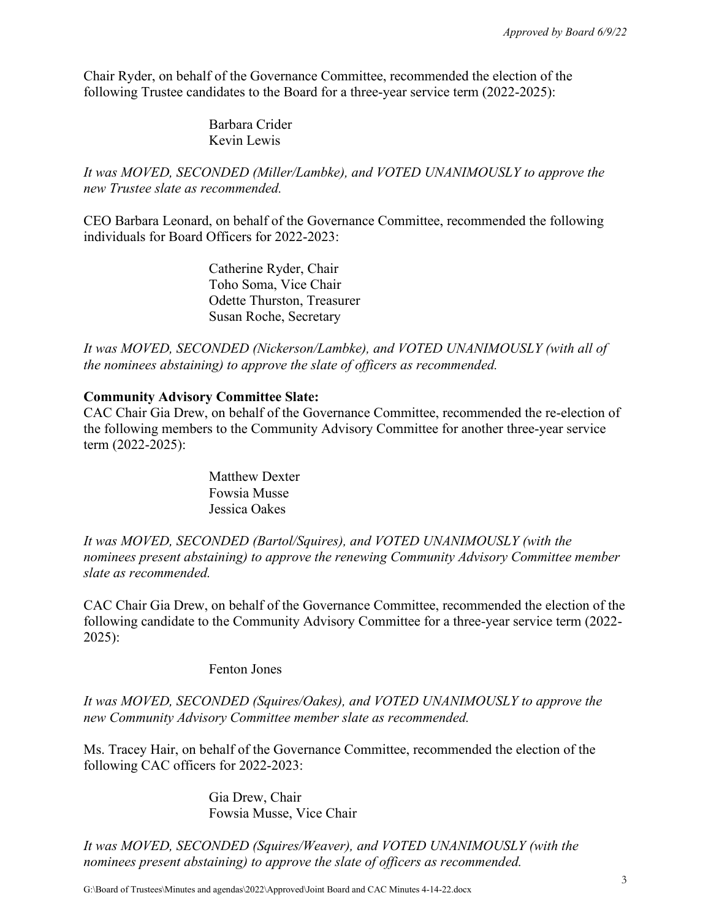Chair Ryder, on behalf of the Governance Committee, recommended the election of the following Trustee candidates to the Board for a three-year service term (2022-2025):

> Barbara Crider Kevin Lewis

*It was MOVED, SECONDED (Miller/Lambke), and VOTED UNANIMOUSLY to approve the new Trustee slate as recommended.* 

CEO Barbara Leonard, on behalf of the Governance Committee, recommended the following individuals for Board Officers for 2022-2023:

> Catherine Ryder, Chair Toho Soma, Vice Chair Odette Thurston, Treasurer Susan Roche, Secretary

*It was MOVED, SECONDED (Nickerson/Lambke), and VOTED UNANIMOUSLY (with all of the nominees abstaining) to approve the slate of officers as recommended.* 

## **Community Advisory Committee Slate:**

CAC Chair Gia Drew, on behalf of the Governance Committee, recommended the re-election of the following members to the Community Advisory Committee for another three-year service term (2022-2025):

> Matthew Dexter Fowsia Musse Jessica Oakes

*It was MOVED, SECONDED (Bartol/Squires), and VOTED UNANIMOUSLY (with the nominees present abstaining) to approve the renewing Community Advisory Committee member slate as recommended.* 

CAC Chair Gia Drew, on behalf of the Governance Committee, recommended the election of the following candidate to the Community Advisory Committee for a three-year service term (2022- 2025):

Fenton Jones

*It was MOVED, SECONDED (Squires/Oakes), and VOTED UNANIMOUSLY to approve the new Community Advisory Committee member slate as recommended.* 

Ms. Tracey Hair, on behalf of the Governance Committee, recommended the election of the following CAC officers for 2022-2023:

> Gia Drew, Chair Fowsia Musse, Vice Chair

*It was MOVED, SECONDED (Squires/Weaver), and VOTED UNANIMOUSLY (with the nominees present abstaining) to approve the slate of officers as recommended.*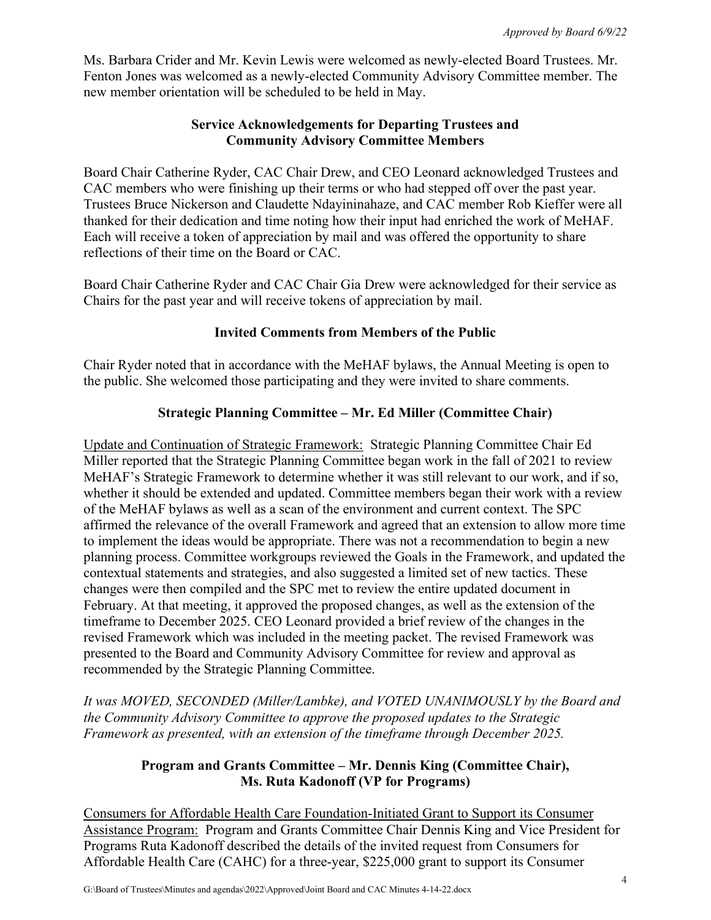Ms. Barbara Crider and Mr. Kevin Lewis were welcomed as newly-elected Board Trustees. Mr. Fenton Jones was welcomed as a newly-elected Community Advisory Committee member. The new member orientation will be scheduled to be held in May.

## **Service Acknowledgements for Departing Trustees and Community Advisory Committee Members**

Board Chair Catherine Ryder, CAC Chair Drew, and CEO Leonard acknowledged Trustees and CAC members who were finishing up their terms or who had stepped off over the past year. Trustees Bruce Nickerson and Claudette Ndayininahaze, and CAC member Rob Kieffer were all thanked for their dedication and time noting how their input had enriched the work of MeHAF. Each will receive a token of appreciation by mail and was offered the opportunity to share reflections of their time on the Board or CAC.

Board Chair Catherine Ryder and CAC Chair Gia Drew were acknowledged for their service as Chairs for the past year and will receive tokens of appreciation by mail.

## **Invited Comments from Members of the Public**

Chair Ryder noted that in accordance with the MeHAF bylaws, the Annual Meeting is open to the public. She welcomed those participating and they were invited to share comments.

## **Strategic Planning Committee – Mr. Ed Miller (Committee Chair)**

Update and Continuation of Strategic Framework: Strategic Planning Committee Chair Ed Miller reported that the Strategic Planning Committee began work in the fall of 2021 to review MeHAF's Strategic Framework to determine whether it was still relevant to our work, and if so, whether it should be extended and updated. Committee members began their work with a review of the MeHAF bylaws as well as a scan of the environment and current context. The SPC affirmed the relevance of the overall Framework and agreed that an extension to allow more time to implement the ideas would be appropriate. There was not a recommendation to begin a new planning process. Committee workgroups reviewed the Goals in the Framework, and updated the contextual statements and strategies, and also suggested a limited set of new tactics. These changes were then compiled and the SPC met to review the entire updated document in February. At that meeting, it approved the proposed changes, as well as the extension of the timeframe to December 2025. CEO Leonard provided a brief review of the changes in the revised Framework which was included in the meeting packet. The revised Framework was presented to the Board and Community Advisory Committee for review and approval as recommended by the Strategic Planning Committee.

*It was MOVED, SECONDED (Miller/Lambke), and VOTED UNANIMOUSLY by the Board and the Community Advisory Committee to approve the proposed updates to the Strategic Framework as presented, with an extension of the timeframe through December 2025.*

## **Program and Grants Committee – Mr. Dennis King (Committee Chair), Ms. Ruta Kadonoff (VP for Programs)**

Consumers for Affordable Health Care Foundation-Initiated Grant to Support its Consumer Assistance Program: Program and Grants Committee Chair Dennis King and Vice President for Programs Ruta Kadonoff described the details of the invited request from Consumers for Affordable Health Care (CAHC) for a three-year, \$225,000 grant to support its Consumer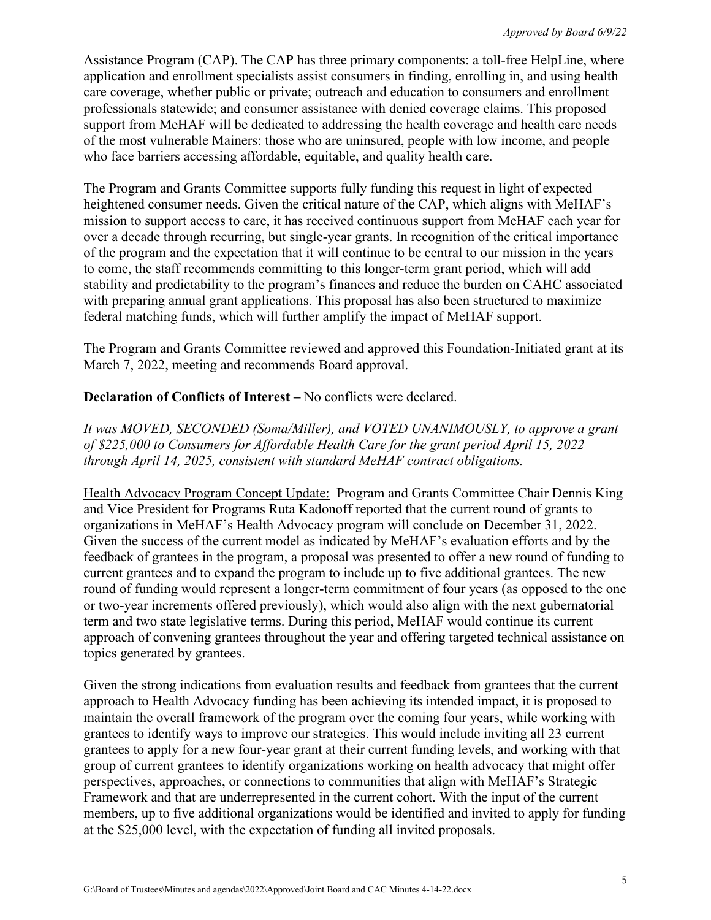Assistance Program (CAP). The CAP has three primary components: a toll-free HelpLine, where application and enrollment specialists assist consumers in finding, enrolling in, and using health care coverage, whether public or private; outreach and education to consumers and enrollment professionals statewide; and consumer assistance with denied coverage claims. This proposed support from MeHAF will be dedicated to addressing the health coverage and health care needs of the most vulnerable Mainers: those who are uninsured, people with low income, and people who face barriers accessing affordable, equitable, and quality health care.

The Program and Grants Committee supports fully funding this request in light of expected heightened consumer needs. Given the critical nature of the CAP, which aligns with MeHAF's mission to support access to care, it has received continuous support from MeHAF each year for over a decade through recurring, but single-year grants. In recognition of the critical importance of the program and the expectation that it will continue to be central to our mission in the years to come, the staff recommends committing to this longer-term grant period, which will add stability and predictability to the program's finances and reduce the burden on CAHC associated with preparing annual grant applications. This proposal has also been structured to maximize federal matching funds, which will further amplify the impact of MeHAF support.

The Program and Grants Committee reviewed and approved this Foundation-Initiated grant at its March 7, 2022, meeting and recommends Board approval.

#### **Declaration of Conflicts of Interest – No conflicts were declared.**

*It was MOVED, SECONDED (Soma/Miller), and VOTED UNANIMOUSLY, to approve a grant of \$225,000 to Consumers for Affordable Health Care for the grant period April 15, 2022 through April 14, 2025, consistent with standard MeHAF contract obligations.*

Health Advocacy Program Concept Update: Program and Grants Committee Chair Dennis King and Vice President for Programs Ruta Kadonoff reported that the current round of grants to organizations in MeHAF's Health Advocacy program will conclude on December 31, 2022. Given the success of the current model as indicated by MeHAF's evaluation efforts and by the feedback of grantees in the program, a proposal was presented to offer a new round of funding to current grantees and to expand the program to include up to five additional grantees. The new round of funding would represent a longer-term commitment of four years (as opposed to the one or two-year increments offered previously), which would also align with the next gubernatorial term and two state legislative terms. During this period, MeHAF would continue its current approach of convening grantees throughout the year and offering targeted technical assistance on topics generated by grantees.

Given the strong indications from evaluation results and feedback from grantees that the current approach to Health Advocacy funding has been achieving its intended impact, it is proposed to maintain the overall framework of the program over the coming four years, while working with grantees to identify ways to improve our strategies. This would include inviting all 23 current grantees to apply for a new four-year grant at their current funding levels, and working with that group of current grantees to identify organizations working on health advocacy that might offer perspectives, approaches, or connections to communities that align with MeHAF's Strategic Framework and that are underrepresented in the current cohort. With the input of the current members, up to five additional organizations would be identified and invited to apply for funding at the \$25,000 level, with the expectation of funding all invited proposals.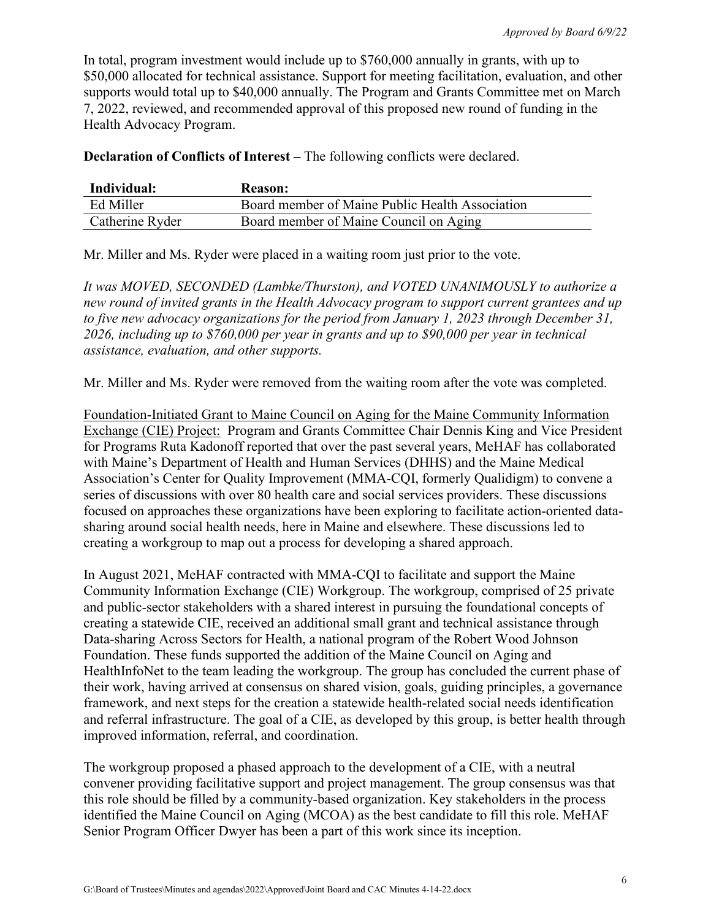In total, program investment would include up to \$760,000 annually in grants, with up to \$50,000 allocated for technical assistance. Support for meeting facilitation, evaluation, and other supports would total up to \$40,000 annually. The Program and Grants Committee met on March 7, 2022, reviewed, and recommended approval of this proposed new round of funding in the Health Advocacy Program.

**Declaration of Conflicts of Interest –** The following conflicts were declared.

| Individual:     | <b>Reason:</b>                                  |
|-----------------|-------------------------------------------------|
| Ed Miller       | Board member of Maine Public Health Association |
| Catherine Ryder | Board member of Maine Council on Aging          |

Mr. Miller and Ms. Ryder were placed in a waiting room just prior to the vote.

*It was MOVED, SECONDED (Lambke/Thurston), and VOTED UNANIMOUSLY to authorize a new round of invited grants in the Health Advocacy program to support current grantees and up to five new advocacy organizations for the period from January 1, 2023 through December 31, 2026, including up to \$760,000 per year in grants and up to \$90,000 per year in technical assistance, evaluation, and other supports.*

Mr. Miller and Ms. Ryder were removed from the waiting room after the vote was completed.

Foundation-Initiated Grant to Maine Council on Aging for the Maine Community Information Exchange (CIE) Project: Program and Grants Committee Chair Dennis King and Vice President for Programs Ruta Kadonoff reported that over the past several years, MeHAF has collaborated with Maine's Department of Health and Human Services (DHHS) and the Maine Medical Association's Center for Quality Improvement (MMA-CQI, formerly Qualidigm) to convene a series of discussions with over 80 health care and social services providers. These discussions focused on approaches these organizations have been exploring to facilitate action-oriented datasharing around social health needs, here in Maine and elsewhere. These discussions led to creating a workgroup to map out a process for developing a shared approach.

In August 2021, MeHAF contracted with MMA-CQI to facilitate and support the Maine Community Information Exchange (CIE) Workgroup. The workgroup, comprised of 25 private and public-sector stakeholders with a shared interest in pursuing the foundational concepts of creating a statewide CIE, received an additional small grant and technical assistance through Data-sharing Across Sectors for Health, a national program of the Robert Wood Johnson Foundation. These funds supported the addition of the Maine Council on Aging and HealthInfoNet to the team leading the workgroup. The group has concluded the current phase of their work, having arrived at consensus on shared vision, goals, guiding principles, a governance framework, and next steps for the creation a statewide health-related social needs identification and referral infrastructure. The goal of a CIE, as developed by this group, is better health through improved information, referral, and coordination.

The workgroup proposed a phased approach to the development of a CIE, with a neutral convener providing facilitative support and project management. The group consensus was that this role should be filled by a community-based organization. Key stakeholders in the process identified the Maine Council on Aging (MCOA) as the best candidate to fill this role. MeHAF Senior Program Officer Dwyer has been a part of this work since its inception.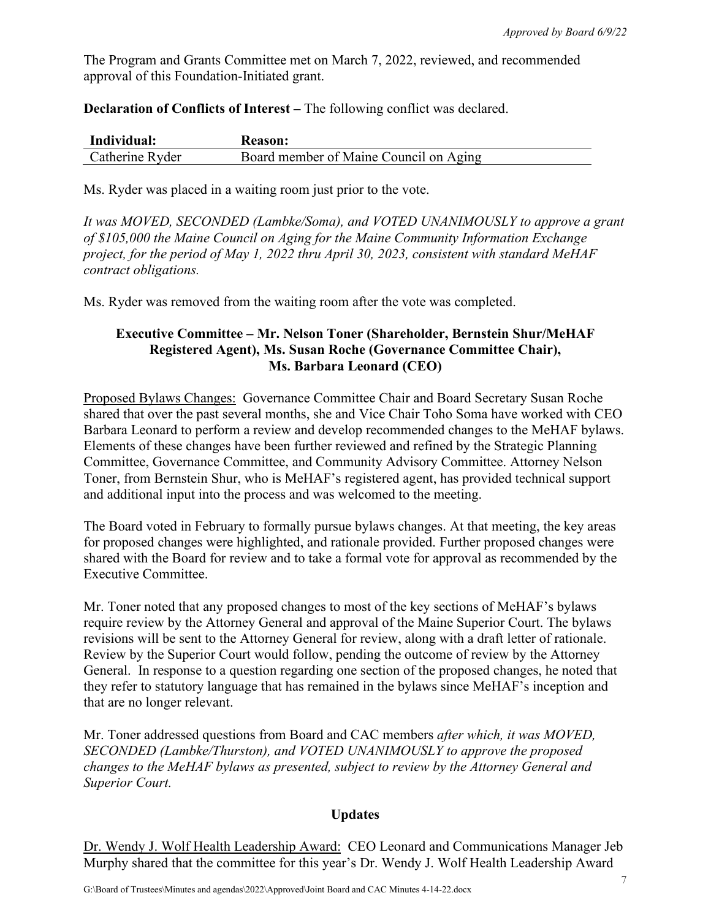The Program and Grants Committee met on March 7, 2022, reviewed, and recommended approval of this Foundation-Initiated grant.

**Declaration of Conflicts of Interest –** The following conflict was declared.

| Individual:     | <b>Reason:</b>                         |
|-----------------|----------------------------------------|
| Catherine Ryder | Board member of Maine Council on Aging |

Ms. Ryder was placed in a waiting room just prior to the vote.

*It was MOVED, SECONDED (Lambke/Soma), and VOTED UNANIMOUSLY to approve a grant of \$105,000 the Maine Council on Aging for the Maine Community Information Exchange project, for the period of May 1, 2022 thru April 30, 2023, consistent with standard MeHAF contract obligations.*

Ms. Ryder was removed from the waiting room after the vote was completed.

## **Executive Committee – Mr. Nelson Toner (Shareholder, Bernstein Shur/MeHAF Registered Agent), Ms. Susan Roche (Governance Committee Chair), Ms. Barbara Leonard (CEO)**

Proposed Bylaws Changes: Governance Committee Chair and Board Secretary Susan Roche shared that over the past several months, she and Vice Chair Toho Soma have worked with CEO Barbara Leonard to perform a review and develop recommended changes to the MeHAF bylaws. Elements of these changes have been further reviewed and refined by the Strategic Planning Committee, Governance Committee, and Community Advisory Committee. Attorney Nelson Toner, from Bernstein Shur, who is MeHAF's registered agent, has provided technical support and additional input into the process and was welcomed to the meeting.

The Board voted in February to formally pursue bylaws changes. At that meeting, the key areas for proposed changes were highlighted, and rationale provided. Further proposed changes were shared with the Board for review and to take a formal vote for approval as recommended by the Executive Committee.

Mr. Toner noted that any proposed changes to most of the key sections of MeHAF's bylaws require review by the Attorney General and approval of the Maine Superior Court. The bylaws revisions will be sent to the Attorney General for review, along with a draft letter of rationale. Review by the Superior Court would follow, pending the outcome of review by the Attorney General. In response to a question regarding one section of the proposed changes, he noted that they refer to statutory language that has remained in the bylaws since MeHAF's inception and that are no longer relevant.

Mr. Toner addressed questions from Board and CAC members *after which, it was MOVED, SECONDED (Lambke/Thurston), and VOTED UNANIMOUSLY to approve the proposed changes to the MeHAF bylaws as presented, subject to review by the Attorney General and Superior Court.* 

#### **Updates**

Dr. Wendy J. Wolf Health Leadership Award: CEO Leonard and Communications Manager Jeb Murphy shared that the committee for this year's Dr. Wendy J. Wolf Health Leadership Award